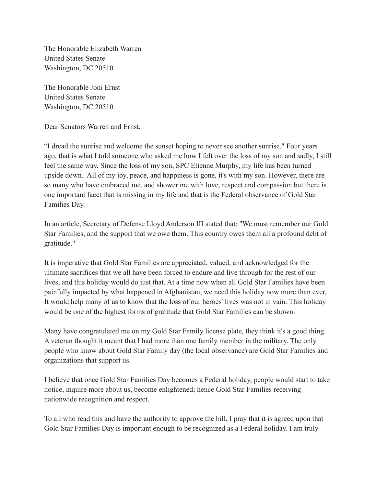The Honorable Elizabeth Warren United States Senate Washington, DC 20510

The Honorable Joni Ernst United States Senate Washington, DC 20510

Dear Senators Warren and Ernst,

"I dread the sunrise and welcome the sunset hoping to never see another sunrise." Four years ago, that is what I told someone who asked me how I felt over the loss of my son and sadly, I still feel the same way. Since the loss of my son, SPC Etienne Murphy, my life has been turned upside down. All of my joy, peace, and happiness is gone, it's with my son. However, there are so many who have embraced me, and shower me with love, respect and compassion but there is one important facet that is missing in my life and that is the Federal observance of Gold Star Families Day.

In an article, Secretary of Defense Lloyd Anderson III stated that; "We must remember our Gold Star Families, and the support that we owe them. This country owes them all a profound debt of gratitude."

It is imperative that Gold Star Families are appreciated, valued, and acknowledged for the ultimate sacrifices that we all have been forced to endure and live through for the rest of our lives, and this holiday would do just that. At a time now when all Gold Star Families have been painfully impacted by what happened in Afghanistan, we need this holiday now more than ever, It would help many of us to know that the loss of our heroes' lives was not in vain. This holiday would be one of the highest forms of gratitude that Gold Star Families can be shown.

Many have congratulated me on my Gold Star Family license plate, they think it's a good thing. A veteran thought it meant that I had more than one family member in the military. The only people who know about Gold Star Family day (the local observance) are Gold Star Families and organizations that support us.

I believe that once Gold Star Families Day becomes a Federal holiday, people would start to take notice, inquire more about us, become enlightened; hence Gold Star Families receiving nationwide recognition and respect.

To all who read this and have the authority to approve the bill, I pray that it is agreed upon that Gold Star Families Day is important enough to be recognized as a Federal holiday. I am truly